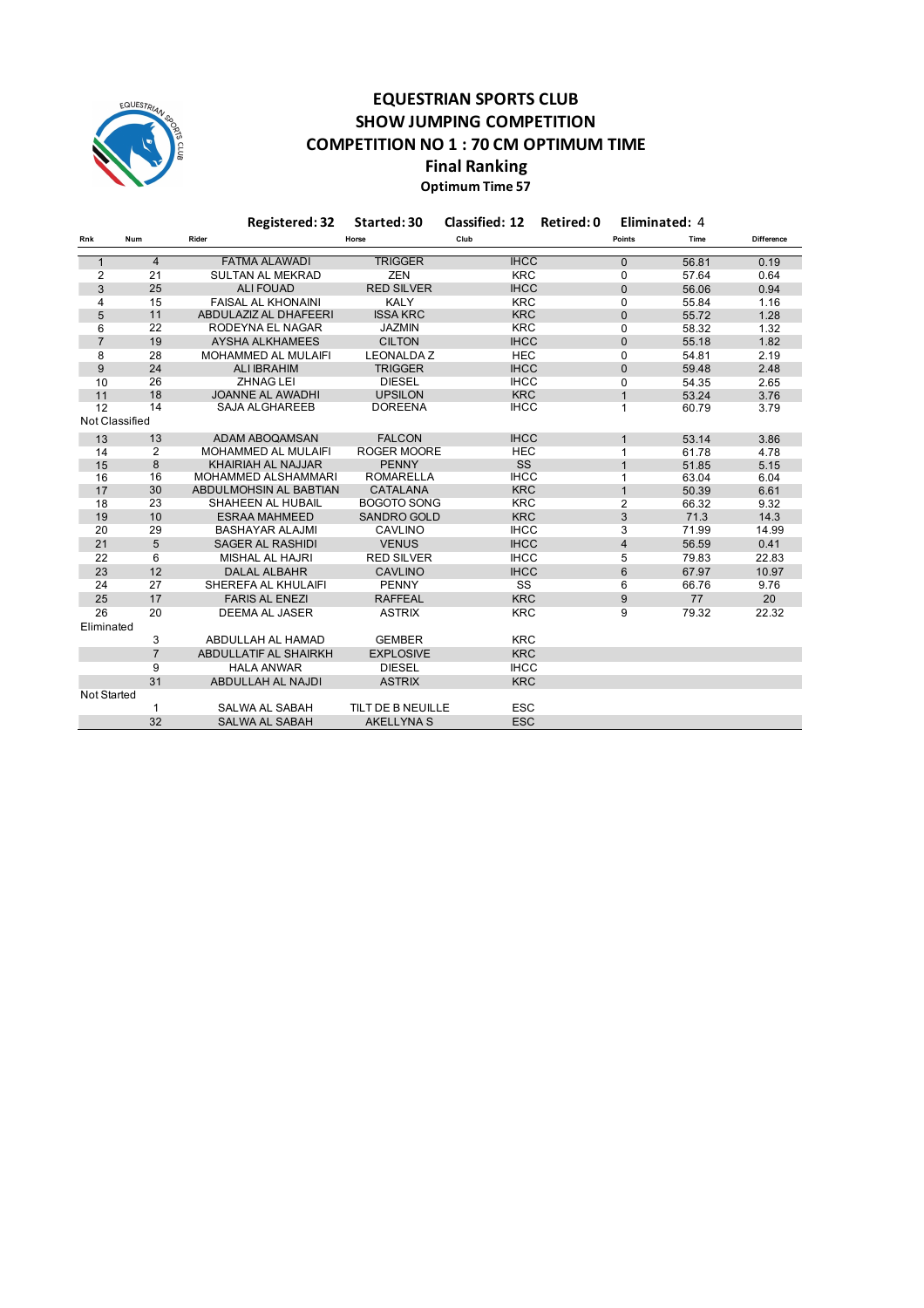

## **EQUESTRIAN SPORTS CLUB SHOW JUMPING COMPETITION COMPETITION NO 1 : 70 CM OPTIMUM TIME Final Ranking**

### **Optimum Time 57**

|                    |                | Registered: 32               | Started: 30<br><b>Classified: 12</b> |             | Retired: 0     | Eliminated: 4 |                   |
|--------------------|----------------|------------------------------|--------------------------------------|-------------|----------------|---------------|-------------------|
| Rnk                | Num            | Rider                        | Horse                                | Club        | Points         | Time          | <b>Difference</b> |
| $\mathbf{1}$       | $\overline{4}$ | <b>FATMA ALAWADI</b>         | <b>TRIGGER</b>                       | <b>IHCC</b> | $\mathbf{0}$   | 56.81         | 0.19              |
| 2                  | 21             | <b>SULTAN AL MEKRAD</b>      | <b>ZEN</b>                           | <b>KRC</b>  | 0              | 57.64         | 0.64              |
| 3                  | 25             | <b>ALI FOUAD</b>             | <b>RED SILVER</b>                    | <b>IHCC</b> | $\mathbf 0$    | 56.06         | 0.94              |
| 4                  | 15             | <b>FAISAL AL KHONAINI</b>    | <b>KALY</b>                          | <b>KRC</b>  | 0              | 55.84         | 1.16              |
| 5                  | 11             | ABDULAZIZ AL DHAFEERI        | <b>ISSA KRC</b>                      | <b>KRC</b>  | $\Omega$       | 55.72         | 1.28              |
| 6                  | 22             | RODEYNA EL NAGAR             | <b>JAZMIN</b>                        | <b>KRC</b>  | 0              | 58.32         | 1.32              |
| $\overline{7}$     | 19             | <b>AYSHA ALKHAMEES</b>       | <b>CILTON</b>                        | <b>IHCC</b> | $\mathbf{0}$   | 55.18         | 1.82              |
| 8                  | 28             | <b>MOHAMMED AL MULAIFI</b>   | <b>LEONALDAZ</b>                     | <b>HEC</b>  | 0              | 54.81         | 2.19              |
| $9$                | 24             | <b>ALI IBRAHIM</b>           | <b>TRIGGER</b>                       | <b>IHCC</b> | $\mathbf 0$    | 59.48         | 2.48              |
| 10                 | 26             | ZHNAG LEI                    | <b>DIESEL</b>                        | <b>IHCC</b> | 0              | 54.35         | 2.65              |
| 11                 | 18             | <b>JOANNE AL AWADHI</b>      | <b>UPSILON</b>                       | <b>KRC</b>  | $\mathbf{1}$   | 53.24         | 3.76              |
| 12                 | 14             | <b>SAJA ALGHAREEB</b>        | <b>DOREENA</b>                       | <b>IHCC</b> | $\mathbf{1}$   | 60.79         | 3.79              |
| Not Classified     |                |                              |                                      |             |                |               |                   |
| 13                 | 13             | <b>ADAM ABOQAMSAN</b>        | <b>FALCON</b>                        | <b>IHCC</b> | $\mathbf{1}$   | 53.14         | 3.86              |
| 14                 | 2              | MOHAMMED AL MULAIFI          | <b>ROGER MOORE</b>                   | <b>HEC</b>  | 1              | 61.78         | 4.78              |
| 15                 | 8              | KHAIRIAH AL NAJJAR           | <b>PENNY</b>                         | SS          | $\mathbf{1}$   | 51.85         | 5.15              |
| 16                 | 16             | MOHAMMED ALSHAMMARI          | <b>ROMARELLA</b>                     | <b>IHCC</b> | 1              | 63.04         | 6.04              |
| 17                 | 30             | ABDULMOHSIN AL BABTIAN       | CATALANA                             | <b>KRC</b>  | $\mathbf{1}$   | 50.39         | 6.61              |
| 18                 | 23             | SHAHEEN AL HUBAIL            | <b>BOGOTO SONG</b>                   | <b>KRC</b>  | $\overline{2}$ | 66.32         | 9.32              |
| 19                 | 10             | <b>ESRAA MAHMEED</b>         | <b>SANDRO GOLD</b>                   | <b>KRC</b>  | 3              | 71.3          | 14.3              |
| 20                 | 29             | <b>BASHAYAR ALAJMI</b>       | CAVLINO                              | <b>IHCC</b> | 3              | 71.99         | 14.99             |
| 21                 | 5              | <b>SAGER AL RASHIDI</b>      | <b>VENUS</b>                         | <b>IHCC</b> | 4              | 56.59         | 0.41              |
| 22                 | 6              | <b>MISHAL AL HAJRI</b>       | <b>RED SILVER</b>                    | <b>IHCC</b> | 5              | 79.83         | 22.83             |
| 23                 | 12             | <b>DALAL ALBAHR</b>          | <b>CAVLINO</b>                       | <b>IHCC</b> | 6              | 67.97         | 10.97             |
| 24                 | 27             | SHEREFA AL KHULAIFI          | <b>PENNY</b>                         | SS          | 6              | 66.76         | 9.76              |
| 25                 | 17             | <b>FARIS AL ENEZI</b>        | <b>RAFFEAL</b>                       | <b>KRC</b>  | 9              | 77            | 20                |
| 26                 | 20             | <b>DEEMA AL JASER</b>        | <b>ASTRIX</b>                        | <b>KRC</b>  | 9              | 79.32         | 22.32             |
| Eliminated         |                |                              |                                      |             |                |               |                   |
|                    | 3              | ABDULLAH AL HAMAD            | <b>GEMBER</b>                        | <b>KRC</b>  |                |               |                   |
|                    | $\overline{7}$ | <b>ABDULLATIF AL SHAIRKH</b> | <b>EXPLOSIVE</b>                     | <b>KRC</b>  |                |               |                   |
|                    | 9              | <b>HALA ANWAR</b>            | <b>DIESEL</b>                        | <b>IHCC</b> |                |               |                   |
|                    | 31             | ABDULLAH AL NAJDI            | <b>ASTRIX</b>                        | <b>KRC</b>  |                |               |                   |
| <b>Not Started</b> |                |                              |                                      |             |                |               |                   |
|                    |                | SALWA AL SABAH               | TILT DE B NEUILLE                    | <b>ESC</b>  |                |               |                   |
|                    | 32             | <b>SALWA AL SABAH</b>        | <b>AKELLYNA S</b>                    | <b>ESC</b>  |                |               |                   |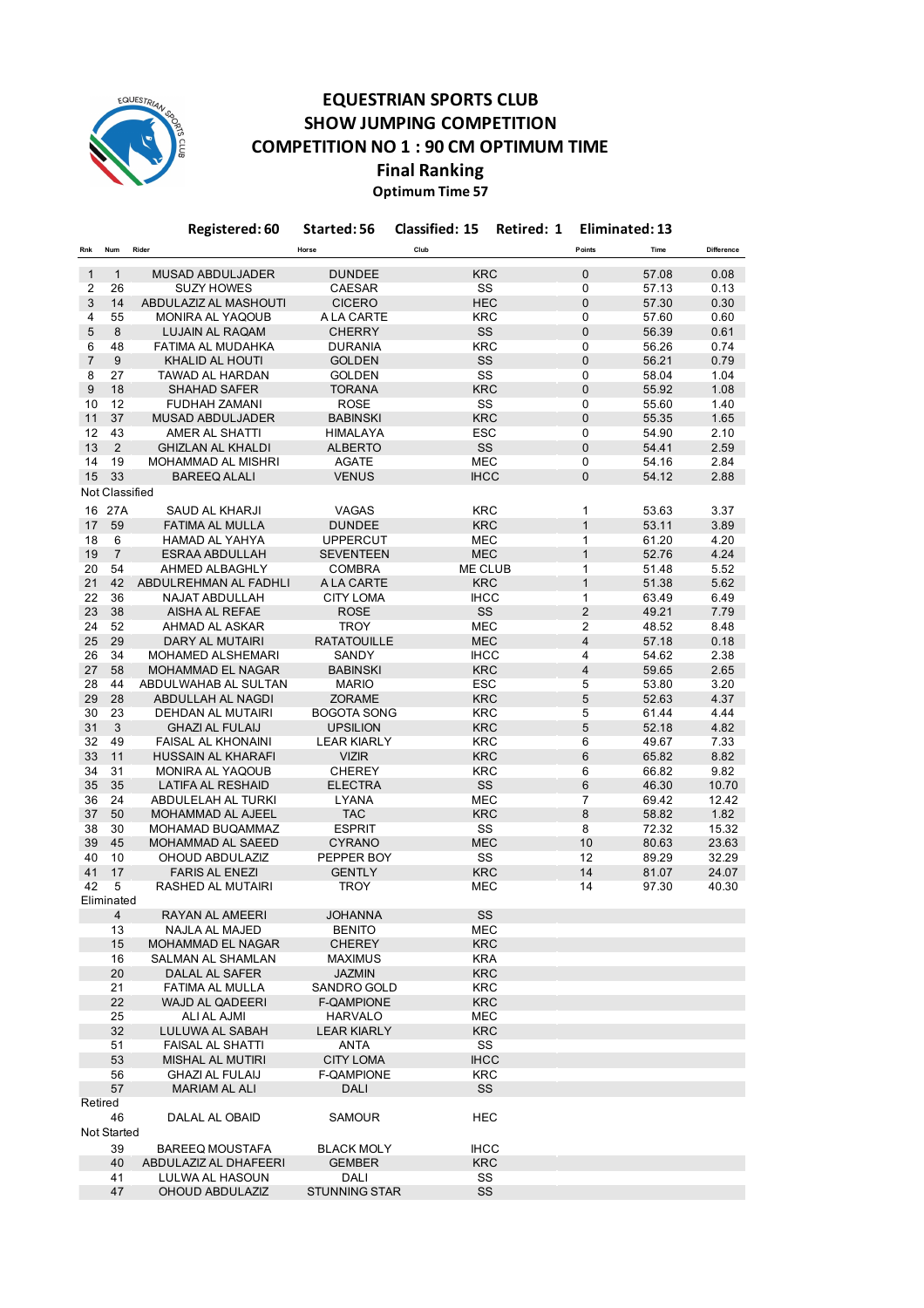

## **EQUESTRIAN SPORTS CLUB SHOW JUMPING COMPETITION COMPETITION NO 1 : 90 CM OPTIMUM TIME Final Ranking Optimum Time 57**

**Rnk Num Rider Horse Club Points Time Difference** 1 1 MUSAD ABDULJADER DUNDEE KRC 0 57.08 0.08 2 26 SUZY HOWES CAESAR SS 0 57.13 0.13 3 14 ABDULAZIZ AL MASHOUTI CICERO HEC 0 57.30 0.30 4 55 MONIRA AL YAQOUB A LA CARTE KRC 0 57.60 0.60 8 LUJAIN AL RAQAM 6 48 FATIMA AL MUDAHKA DURANIA KRC 0 56.26 0.74 7 9 KHALID AL HOUTI GOLDEN SS 0 56.21 0.79 8 27 TAWAD AL HARDAN GOLDEN SS 0 58.04 1.04 9 18 SHAHAD SAFER TORANA KRC 0 55.92 1.08 10 12 FUDHAH ZAMANI ROSE SS 0 55.60 1.40 11 37 MUSAD ABDULJADER BABINSKI KRC 0 55.35 1.65 12 43 AMER AL SHATTI HIMALAYA ESC 0 54.90 2.10 13 2 GHIZLAN AL KHALDI ALBERTO SS 0 54.41 2.59 14 19 MOHAMMAD AL MISHRI AGATE MEC 0 54.16 2.84 15 33 BAREEQ ALALI VENUS IHCC 0 54.12 2.88 16 27A SAUD AL KHARJI VAGAS KRC 1 53.63 3.37 17 59 FATIMA AL MULLA DUNDEE KRC 1 53.11 3.89 18 6 HAMAD AL YAHYA UPPERCUT MEC 1 61.20 4.20 19 7 ESRAA ABDULLAH SEVENTEEN MEC 1 52.76 4.24 20 54 AHMED ALBAGHLY COMBRA ME CLUB 1 51.48 5.52 21 42 ABDULREHMAN AL FADHLI A LA CARTE KRC 1 51.38 5.62 22 36 NAJAT ABDULLAH CITY LOMA IHCC 1 63.49 6.49 23 38 AISHA AL REFAE ROSE SS 2 49.21 7.79 24 52 AHMAD AL ASKAR TROY MEC 2 48.52 8.48 25 29 DARY AL MUTAIRI RATATOUILLE MEC 4 57.18 0.18 26 34 MOHAMED ALSHEMARI SANDY IHCC 4 54.62 2.38 27 58 MOHAMMAD EL NAGAR BABINSKI KRC 4 59.65 2.65 28 44 ABDULWAHAB AL SULTAN MARIO ESC 5 53.80 3.20 29 28 ABDULLAH AL NAGDI ZORAME KRC 5 52.63 4.37 30 23 DEHDAN AL MUTAIRI BOGOTA SONG KRC 5 61.44 4.44 31 3 GHAZI AL FULAIJ UPSILION KRC 5 52.18 4.82<br>32 49 FAISAL AL KHONAINI LEAR KIARLY KRC 6 49.67 7.33 32 49 FAISAL AL KHONAINI LEAR KIARLY KRC 6 49.67 33 11 HUSSAIN AL KHARAFI VIZIR KRC 6 65.82 8.82 34 31 MONIRA AL YAQOUB CHEREY KRC 6 66.82 9.82 35 35 LATIFA AL RESHAID ELECTRA SS 6 46.30 10.70 36 24 ABDULELAH AL TURKI LYANA MEC 7 69.42 12.42 37 50 MOHAMMAD AL AJEEL TAC KRC 8 58.82 1.82 38 30 MOHAMAD BUQAMMAZ ESPRIT SS 8 72.32 15.32 39 45 MOHAMMAD AL SAEED CYRANO MEC 10 80.63 23.63 40 10 OHOUD ABDULAZIZ PEPPER BOY SS 12 89.29 32.29 41 17 FARIS AL ENEZI GENTLY KRC 14 81.07 24.07 42 5 RASHED AL MUTAIRI TROY MEC 14 97.30 40.30 4 RAYAN AL AMEERI JOHANNA SS 13 NAJLA AL MAJED BENITO MEC 15 MOHAMMAD EL NAGAR CHEREY KRC 16 SALMAN AL SHAMLAN MAXIMUS KRA 20 DALAL AL SAFER JAZMIN KRC 21 FATIMA AL MULLA SANDRO GOLD KRC 22 WAJD AL QADEERI F-QAMPIONE KRC 25 ALI AL AJMI HARVALO MEC 32 LULUWA AL SABAH LEAR KIARLY KRC 51 FAISAL AL SHATTI ANTA SS<br>53 MISHAL AL MUTIRI CITY LOMA IHCC 53 MISHAL AL MUTIRI 56 GHAZI AL FULAIJ F-QAMPIONE KRC 57 MARIAM AL ALI DALI SS 46 DALAL AL OBAID SAMOUR HEC 39 BAREEQ MOUSTAFA BLACK MOLY IHCC 40 ABDULAZIZ AL DHAFEERI GEMBER KRC 41 LULWA AL HASOUN DALI SS 47 OHOUD ABDULAZIZ STUNNING STAR SS Not Classified Eliminated Retired Not Started **Registered: 60 Started: 56 Classified: 15 Retired: 1 Eliminated: 13**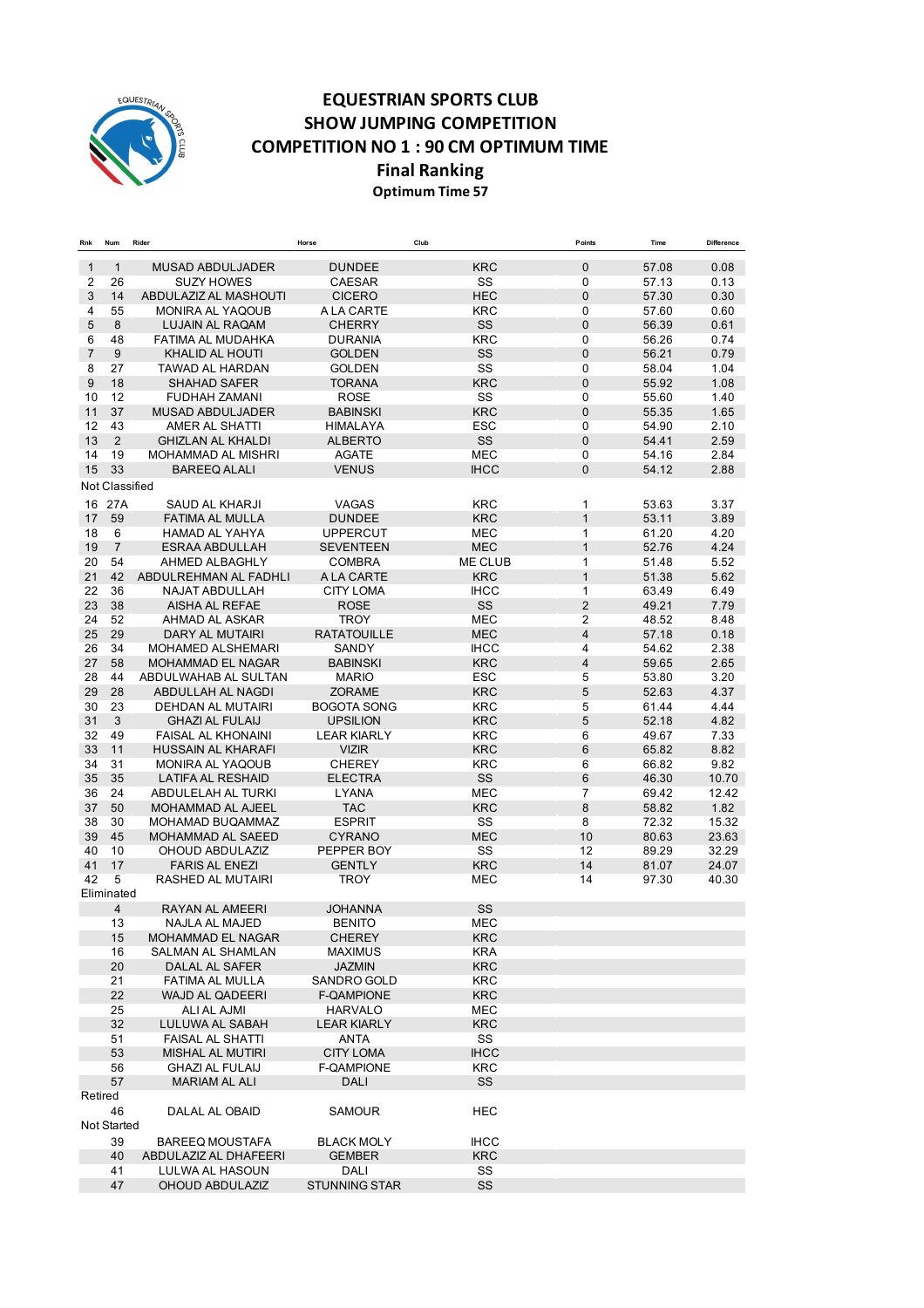

## **EQUESTRIAN SPORTS CLUB SHOW JUMPING COMPETITION COMPETITION NO 1 : 90 CM OPTIMUM TIME Final Ranking Optimum Time 57**

| Rnk | Num            | Rider                                  | Horse                | Club              | Points          | Time  | Difference |
|-----|----------------|----------------------------------------|----------------------|-------------------|-----------------|-------|------------|
| 1   | $\mathbf{1}$   | <b>MUSAD ABDULJADER</b>                | <b>DUNDEE</b>        | <b>KRC</b>        | $\mathbf{0}$    | 57.08 | 0.08       |
| 2   | 26             | <b>SUZY HOWES</b>                      | CAESAR               | SS                | $\mathbf 0$     | 57.13 | 0.13       |
| 3   | 14             | ABDULAZIZ AL MASHOUTI                  | <b>CICERO</b>        | <b>HEC</b>        | $\mathbf 0$     | 57.30 | 0.30       |
| 4   | 55             | MONIRA AL YAQOUB                       | A LA CARTE           | <b>KRC</b>        | $\mathbf 0$     | 57.60 | 0.60       |
| 5   | 8              | <b>LUJAIN AL RAQAM</b>                 | <b>CHERRY</b>        | <b>SS</b>         | $\mathbf 0$     | 56.39 | 0.61       |
| 6   | 48             | <b>FATIMA AL MUDAHKA</b>               | <b>DURANIA</b>       | <b>KRC</b>        | $\mathbf 0$     | 56.26 | 0.74       |
| 7   | 9              | KHALID AL HOUTI                        | <b>GOLDEN</b>        | SS                | $\overline{0}$  | 56.21 | 0.79       |
| 8   | 27             | TAWAD AL HARDAN                        | <b>GOLDEN</b>        | SS                | 0               | 58.04 | 1.04       |
| 9   | 18             | <b>SHAHAD SAFER</b>                    | <b>TORANA</b>        | <b>KRC</b>        | $\overline{0}$  | 55.92 | 1.08       |
| 10  | 12             | <b>FUDHAH ZAMANI</b>                   | <b>ROSE</b>          | SS                | $\mathbf 0$     | 55.60 | 1.40       |
| 11  | 37             | <b>MUSAD ABDULJADER</b>                | <b>BABINSKI</b>      | <b>KRC</b>        | $\mathbf{0}$    | 55.35 | 1.65       |
| 12  | 43             | AMER AL SHATTI                         | <b>HIMALAYA</b>      | <b>ESC</b>        | $\mathbf 0$     | 54.90 | 2.10       |
| 13  | 2              | <b>GHIZLAN AL KHALDI</b>               | <b>ALBERTO</b>       | SS                | $\mathbf 0$     | 54.41 | 2.59       |
| 14  | 19             | MOHAMMAD AL MISHRI                     | <b>AGATE</b>         | <b>MEC</b>        | 0               | 54.16 | 2.84       |
| 15  | 33             | <b>BAREEQ ALALI</b>                    | <b>VENUS</b>         | <b>IHCC</b>       | $\mathbf{0}$    | 54.12 | 2.88       |
|     |                |                                        |                      |                   |                 |       |            |
|     | Not Classified |                                        |                      |                   |                 |       |            |
| 16  | 27A            | SAUD AL KHARJI                         | <b>VAGAS</b>         | <b>KRC</b>        | 1               | 53.63 | 3.37       |
| 17  | 59             | FATIMA AL MULLA                        | <b>DUNDEE</b>        | <b>KRC</b>        | $\mathbf{1}$    | 53.11 | 3.89       |
| 18  | 6              | <b>HAMAD AL YAHYA</b>                  | <b>UPPERCUT</b>      | <b>MEC</b>        | $\mathbf{1}$    | 61.20 | 4.20       |
| 19  | $\overline{7}$ | <b>ESRAA ABDULLAH</b>                  | <b>SEVENTEEN</b>     | <b>MEC</b>        | $\mathbf{1}$    | 52.76 | 4.24       |
| 20  | 54             | AHMED ALBAGHLY                         | <b>COMBRA</b>        | ME CLUB           | 1               | 51.48 | 5.52       |
| 21  | 42             | ABDULREHMAN AL FADHLI                  | A LA CARTE           | <b>KRC</b>        | $\mathbf{1}$    | 51.38 | 5.62       |
| 22  | 36             | <b>NAJAT ABDULLAH</b>                  | <b>CITY LOMA</b>     | <b>IHCC</b>       | 1               | 63.49 | 6.49       |
| 23  | 38             | <b>AISHA AL REFAE</b>                  | <b>ROSE</b>          | SS                | $\overline{2}$  | 49.21 | 7.79       |
| 24  | 52             | AHMAD AL ASKAR                         | <b>TROY</b>          | <b>MEC</b>        | $\overline{2}$  | 48.52 | 8.48       |
| 25  | 29             | DARY AL MUTAIRI                        | <b>RATATOUILLE</b>   | <b>MEC</b>        | $\overline{4}$  | 57.18 | 0.18       |
| 26  | 34             | MOHAMED ALSHEMARI                      | SANDY                | <b>IHCC</b>       | 4               | 54.62 | 2.38       |
| 27  | 58             | <b>MOHAMMAD EL NAGAR</b>               | <b>BABINSKI</b>      | <b>KRC</b>        | $\overline{4}$  | 59.65 | 2.65       |
| 28  | 44             | ABDULWAHAB AL SULTAN                   | <b>MARIO</b>         | <b>ESC</b>        | 5               | 53.80 | 3.20       |
| 29  | 28             | ABDULLAH AL NAGDI                      | <b>ZORAME</b>        | <b>KRC</b>        | $5\phantom{.0}$ | 52.63 | 4.37       |
| 30  | 23             | DEHDAN AL MUTAIRI                      | <b>BOGOTA SONG</b>   | <b>KRC</b>        | 5               | 61.44 | 4.44       |
| 31  | 3              | <b>GHAZI AL FULAIJ</b>                 | <b>UPSILION</b>      | <b>KRC</b>        | 5               | 52.18 | 4.82       |
| 32  | 49             | <b>FAISAL AL KHONAINI</b>              | <b>LEAR KIARLY</b>   | <b>KRC</b>        | 6               | 49.67 | 7.33       |
| 33  | 11             | <b>HUSSAIN AL KHARAFI</b>              | <b>VIZIR</b>         | <b>KRC</b>        | $6\phantom{1}$  | 65.82 | 8.82       |
| 34  | 31             | MONIRA AL YAQOUB                       | <b>CHEREY</b>        | <b>KRC</b>        | 6               | 66.82 | 9.82       |
| 35  | 35             | <b>LATIFA AL RESHAID</b>               | <b>ELECTRA</b>       | SS                | $6\phantom{1}6$ | 46.30 | 10.70      |
| 36  | 24             | ABDULELAH AL TURKI                     | LYANA                | <b>MEC</b>        | 7               | 69.42 | 12.42      |
| 37  | 50             | MOHAMMAD AL AJEEL                      | <b>TAC</b>           | <b>KRC</b>        | $\,8\,$         | 58.82 | 1.82       |
| 38  | 30             | MOHAMAD BUQAMMAZ                       | <b>ESPRIT</b>        | SS                | 8               | 72.32 | 15.32      |
| 39  | 45             | MOHAMMAD AL SAEED                      | <b>CYRANO</b>        | <b>MEC</b>        | 10              | 80.63 | 23.63      |
| 40  | 10             | OHOUD ABDULAZIZ                        | PEPPER BOY           | SS                | 12              | 89.29 | 32.29      |
| 41  | 17             | <b>FARIS AL ENEZI</b>                  | <b>GENTLY</b>        | <b>KRC</b>        | 14              | 81.07 | 24.07      |
| 42  | 5              | RASHED AL MUTAIRI                      | <b>TROY</b>          | <b>MEC</b>        | 14              | 97.30 | 40.30      |
|     | Eliminated     |                                        |                      |                   |                 |       |            |
|     | $\overline{4}$ | RAYAN AL AMEERI                        | <b>JOHANNA</b>       | SS                |                 |       |            |
|     | 13             | <b>NAJLA AL MAJED</b>                  | <b>BENITO</b>        | <b>MEC</b>        |                 |       |            |
|     |                |                                        |                      |                   |                 |       |            |
|     | 15<br>16       | MOHAMMAD EL NAGAR<br>SALMAN AL SHAMLAN | CHEREY               | KRC<br><b>KRA</b> |                 |       |            |
|     |                |                                        | <b>MAXIMUS</b>       |                   |                 |       |            |
|     | 20             | DALAL AL SAFER                         | <b>JAZMIN</b>        | <b>KRC</b>        |                 |       |            |
|     | 21             | FATIMA AL MULLA                        | SANDRO GOLD          | <b>KRC</b>        |                 |       |            |
|     | 22             | WAJD AL QADEERI                        | F-QAMPIONE           | <b>KRC</b>        |                 |       |            |
|     | 25             | ALI AL AJMI                            | HARVALO              | <b>MEC</b>        |                 |       |            |
|     | 32             | LULUWA AL SABAH                        | <b>LEAR KIARLY</b>   | <b>KRC</b>        |                 |       |            |
|     | 51             | <b>FAISAL AL SHATTI</b>                | ANTA                 | SS                |                 |       |            |
|     | 53             | <b>MISHAL AL MUTIRI</b>                | <b>CITY LOMA</b>     | <b>IHCC</b>       |                 |       |            |
|     | 56             | <b>GHAZI AL FULAIJ</b>                 | F-QAMPIONE           | <b>KRC</b>        |                 |       |            |
|     | 57             | <b>MARIAM AL ALI</b>                   | DALI                 | SS                |                 |       |            |
|     | Retired        |                                        |                      |                   |                 |       |            |
|     | 46             | DALAL AL OBAID                         | <b>SAMOUR</b>        | HEC               |                 |       |            |
|     | Not Started    |                                        |                      |                   |                 |       |            |
|     | 39             | <b>BAREEQ MOUSTAFA</b>                 | <b>BLACK MOLY</b>    | <b>IHCC</b>       |                 |       |            |
|     | 40             | ABDULAZIZ AL DHAFEERI                  | <b>GEMBER</b>        | <b>KRC</b>        |                 |       |            |
|     | 41             | LULWA AL HASOUN                        | DALI                 | SS                |                 |       |            |
|     | 47             | OHOUD ABDULAZIZ                        | <b>STUNNING STAR</b> | SS                |                 |       |            |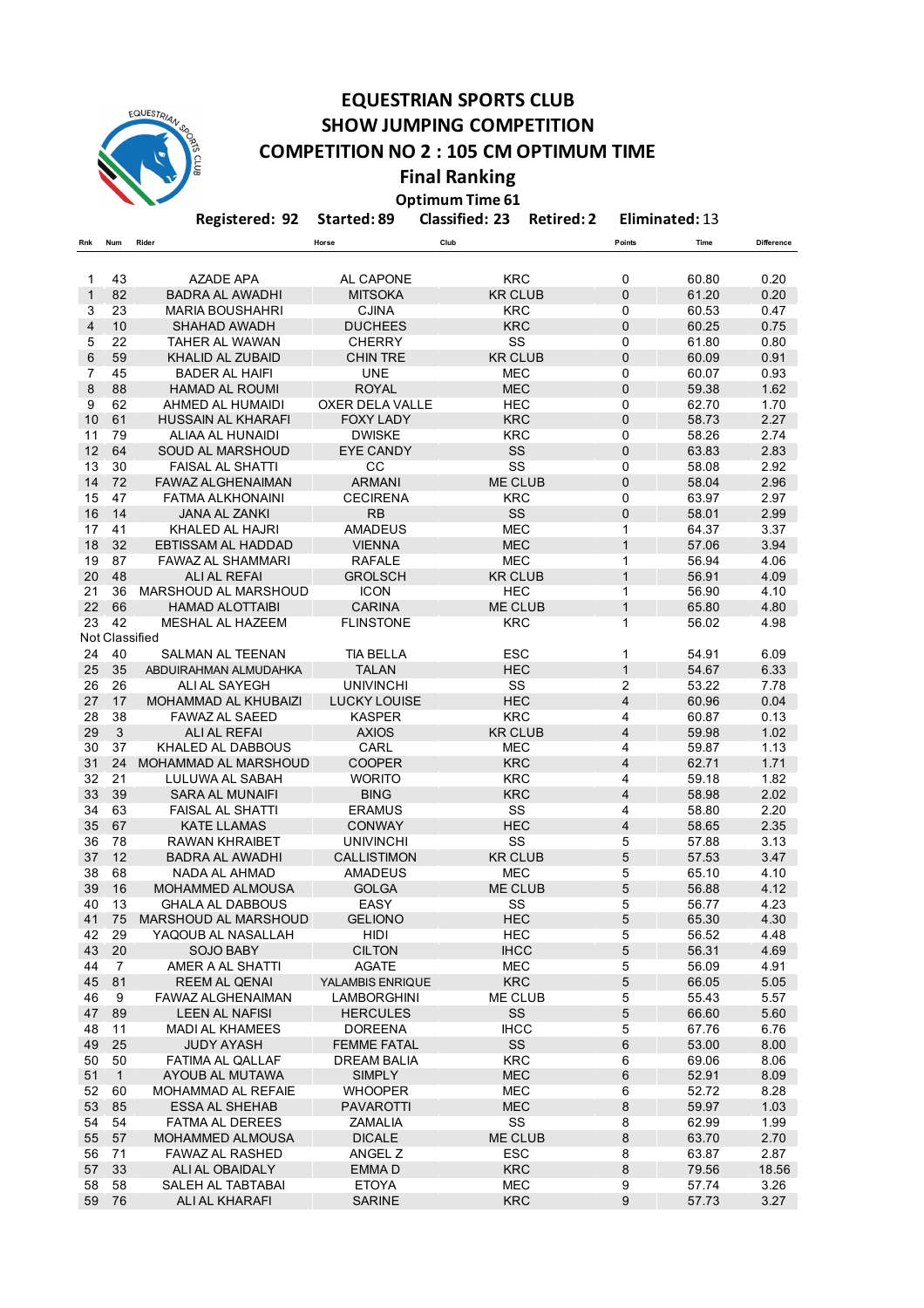

## **EQUESTRIAN SPORTS CLUB SHOW JUMPING COMPETITION COMPETITION NO 2 : 105 CM OPTIMUM TIME**

**Final Ranking Optimum Time 61** 

**Registered: 92 Started: 89 Classified: 23 Retired: 2 Eliminated:** 13

| Rnk          | Num                  | Rider                                     | Horse                  | Club                         | <b>Points</b>                    | Time           | <b>Difference</b> |
|--------------|----------------------|-------------------------------------------|------------------------|------------------------------|----------------------------------|----------------|-------------------|
|              |                      |                                           |                        |                              |                                  |                |                   |
| 1            | 43                   | <b>AZADE APA</b>                          | AL CAPONE              | <b>KRC</b>                   | $\mathbf 0$                      | 60.80          | 0.20              |
| $\mathbf{1}$ | 82                   | BADRA AL AWADHI                           | <b>MITSOKA</b>         | <b>KR CLUB</b>               | $\mathbf 0$                      | 61.20          | 0.20              |
| 3            | 23                   | <b>MARIA BOUSHAHRI</b>                    | <b>CJINA</b>           | <b>KRC</b>                   | 0                                | 60.53          | 0.47              |
| 4            | 10                   | <b>SHAHAD AWADH</b>                       | <b>DUCHEES</b>         | <b>KRC</b>                   | $\pmb{0}$                        | 60.25          | 0.75              |
| 5            | 22                   | <b>TAHER AL WAWAN</b>                     | <b>CHERRY</b>          | SS                           | $\Omega$                         | 61.80          | 0.80              |
| 6            | 59                   | KHALID AL ZUBAID                          | <b>CHIN TRE</b>        | <b>KR CLUB</b>               | $\mathbf 0$                      | 60.09          | 0.91              |
| 7            | 45                   | BADER AL HAIFI                            | <b>UNE</b>             | <b>MEC</b>                   | $\mathbf 0$                      | 60.07          | 0.93              |
| 8            | 88                   | <b>HAMAD AL ROUMI</b>                     | <b>ROYAL</b>           | <b>MEC</b>                   | $\mathbf 0$                      | 59.38          | 1.62              |
| 9            | 62                   | AHMED AL HUMAIDI                          | <b>OXER DELA VALLE</b> | <b>HEC</b>                   | $\mathbf 0$                      | 62.70          | 1.70              |
| 10           | 61                   | <b>HUSSAIN AL KHARAFI</b>                 | <b>FOXY LADY</b>       | <b>KRC</b>                   | $\pmb{0}$                        | 58.73          | 2.27              |
| 11           | 79                   | ALIAA AL HUNAIDI                          | <b>DWISKE</b>          | <b>KRC</b>                   | $\mathbf{0}$                     | 58.26          | 2.74              |
| 12           | 64                   | SOUD AL MARSHOUD                          | <b>EYE CANDY</b>       | SS                           | $\mathbf 0$                      | 63.83          | 2.83              |
| 13           | 30                   | <b>FAISAL AL SHATTI</b>                   | CC                     | SS                           | $\mathbf 0$                      | 58.08          | 2.92              |
| 14           | 72                   | <b>FAWAZ ALGHENAIMAN</b>                  | <b>ARMANI</b>          | ME CLUB                      | $\mathbf 0$                      | 58.04          | 2.96              |
| 15           | 47                   | <b>FATMA ALKHONAINI</b>                   | <b>CECIRENA</b>        | <b>KRC</b>                   | $\Omega$                         | 63.97          | 2.97              |
| 16           | 14                   | <b>JANA AL ZANKI</b>                      | <b>RB</b>              | SS                           | $\mathbf 0$                      | 58.01          | 2.99              |
| 17           | 41                   | KHALED AL HAJRI                           | <b>AMADEUS</b>         | <b>MEC</b>                   | 1                                | 64.37          | 3.37              |
| 18           | 32                   | <b>EBTISSAM AL HADDAD</b>                 | <b>VIENNA</b>          | <b>MEC</b>                   | $\mathbf{1}$                     | 57.06          | 3.94              |
| 19           | 87                   | <b>FAWAZ AL SHAMMARI</b>                  | <b>RAFALE</b>          | <b>MEC</b>                   | $\mathbf{1}$                     | 56.94          | 4.06              |
| 20           | 48                   | <b>ALI AL REFAI</b>                       | <b>GROLSCH</b>         | <b>KR CLUB</b>               | $\mathbf{1}$                     | 56.91          | 4.09              |
| 21           | 36                   | MARSHOUD AL MARSHOUD                      | <b>ICON</b>            | <b>HEC</b>                   | 1                                | 56.90          | 4.10              |
| 22           | 66                   | <b>HAMAD ALOTTAIBI</b>                    | <b>CARINA</b>          | ME CLUB                      | $\mathbf{1}$                     | 65.80          | 4.80              |
| 23           | 42                   | <b>MESHAL AL HAZEEM</b>                   | <b>FLINSTONE</b>       | <b>KRC</b>                   | 1                                | 56.02          | 4.98              |
|              | Not Classified       |                                           |                        |                              |                                  |                |                   |
| 24           | 40                   | SALMAN AL TEENAN                          | TIA BELLA              | <b>ESC</b>                   | 1                                | 54.91          | 6.09              |
| 25           | 35                   | ABDUIRAHMAN ALMUDAHKA                     | <b>TALAN</b>           | <b>HEC</b>                   | $\mathbf{1}$                     | 54.67          | 6.33              |
| 26           | 26                   | ALI AL SAYEGH                             | <b>UNIVINCHI</b>       | SS                           | 2                                | 53.22          | 7.78              |
| 27           | 17                   | MOHAMMAD AL KHUBAIZI                      | <b>LUCKY LOUISE</b>    | <b>HEC</b>                   | $\overline{\mathbf{4}}$          | 60.96          | 0.04              |
| 28<br>29     | 38<br>$\mathfrak{Z}$ | <b>FAWAZ AL SAEED</b>                     | <b>KASPER</b>          | <b>KRC</b><br><b>KR CLUB</b> | $\overline{4}$<br>$\overline{4}$ | 60.87<br>59.98 | 0.13<br>1.02      |
| 30           | 37                   | ALI AL REFAI                              | <b>AXIOS</b><br>CARL   |                              |                                  |                |                   |
| 31           | 24                   | KHALED AL DABBOUS<br>MOHAMMAD AL MARSHOUD | <b>COOPER</b>          | MEC<br><b>KRC</b>            | 4<br>$\overline{4}$              | 59.87<br>62.71 | 1.13<br>1.71      |
| 32           | 21                   | LULUWA AL SABAH                           | <b>WORITO</b>          | <b>KRC</b>                   | 4                                | 59.18          | 1.82              |
| 33           | 39                   | <b>SARA AL MUNAIFI</b>                    | <b>BING</b>            | <b>KRC</b>                   | $\overline{4}$                   | 58.98          | 2.02              |
| 34           | 63                   | <b>FAISAL AL SHATTI</b>                   | <b>ERAMUS</b>          | SS                           | $\overline{4}$                   | 58.80          | 2.20              |
| 35           | 67                   | KATE LLAMAS                               | <b>CONWAY</b>          | <b>HEC</b>                   | $\overline{\mathbf{4}}$          | 58.65          | 2.35              |
| 36           | 78                   | <b>RAWAN KHRAIBET</b>                     | <b>UNIVINCHI</b>       | SS                           | 5                                | 57.88          | 3.13              |
| 37           | 12                   | <b>BADRA AL AWADHI</b>                    | <b>CALLISTIMON</b>     | <b>KR CLUB</b>               | 5                                | 57.53          | 3.47              |
| 38           | 68                   | NADA AL AHMAD                             | <b>AMADEUS</b>         | <b>MEC</b>                   | 5                                | 65.10          | 4.10              |
| 39           | 16                   | MOHAMMED ALMOUSA                          | <b>GOLGA</b>           | <b>ME CLUB</b>               | 5                                | 56.88          | 4.12              |
| 40           | 13                   | GHALA AL DABBOUS                          | EASY                   | SS                           | 5                                | 56.77          | 4.23              |
| 41           | 75                   | MARSHOUD AL MARSHOUD                      | <b>GELIONO</b>         | <b>HEC</b>                   | 5                                | 65.30          | 4.30              |
| 42           | 29                   | YAQOUB AL NASALLAH                        | HIDI                   | HEC                          | 5                                | 56.52          | 4.48              |
| 43           | 20                   | <b>SOJO BABY</b>                          | <b>CILTON</b>          | <b>IHCC</b>                  | 5                                | 56.31          | 4.69              |
| 44           | $\overline{7}$       | AMER A AL SHATTI                          | <b>AGATE</b>           | <b>MEC</b>                   | 5                                | 56.09          | 4.91              |
| 45           | 81                   | REEM AL QENAI                             | YALAMBIS ENRIQUE       | <b>KRC</b>                   | 5                                | 66.05          | 5.05              |
| 46           | 9                    | FAWAZ ALGHENAIMAN                         | <b>LAMBORGHINI</b>     | <b>ME CLUB</b>               | $\sqrt{5}$                       | 55.43          | 5.57              |
| 47           | 89                   | <b>LEEN AL NAFISI</b>                     | <b>HERCULES</b>        | SS                           | 5                                | 66.60          | 5.60              |
| 48           | 11                   | <b>MADI AL KHAMEES</b>                    | <b>DOREENA</b>         | <b>IHCC</b>                  | 5                                | 67.76          | 6.76              |
| 49           | 25                   | <b>JUDY AYASH</b>                         | <b>FEMME FATAL</b>     | SS                           | $\,6\,$                          | 53.00          | 8.00              |
| 50           | 50                   | <b>FATIMA AL QALLAF</b>                   | <b>DREAM BALIA</b>     | <b>KRC</b>                   | 6                                | 69.06          | 8.06              |
| 51           | $\mathbf{1}$         | AYOUB AL MUTAWA                           | <b>SIMPLY</b>          | <b>MEC</b>                   | 6                                | 52.91          | 8.09              |
| 52           | 60                   | MOHAMMAD AL REFAIE                        | <b>WHOOPER</b>         | <b>MEC</b>                   | $\,6$                            | 52.72          | 8.28              |
| 53           | 85                   | <b>ESSA AL SHEHAB</b>                     | <b>PAVAROTTI</b>       | <b>MEC</b>                   | $\bf 8$                          | 59.97          | 1.03              |
| 54           | 54                   | <b>FATMA AL DEREES</b>                    | ZAMALIA                | SS                           | 8                                | 62.99          | 1.99              |
| 55           | 57                   | <b>MOHAMMED ALMOUSA</b>                   | <b>DICALE</b>          | ME CLUB                      | $\bf 8$                          | 63.70          | 2.70              |
| 56           | 71                   | <b>FAWAZ AL RASHED</b>                    | ANGEL Z                | <b>ESC</b>                   | 8                                | 63.87          | 2.87              |
| 57           | 33                   | ALI AL OBAIDALY                           | EMMA D                 | <b>KRC</b>                   | 8                                | 79.56          | 18.56             |
| 58           | 58                   | SALEH AL TABTABAI                         | <b>ETOYA</b>           | <b>MEC</b>                   | 9                                | 57.74          | 3.26              |
| 59           | 76                   | ALI AL KHARAFI                            | <b>SARINE</b>          | <b>KRC</b>                   | 9                                | 57.73          | 3.27              |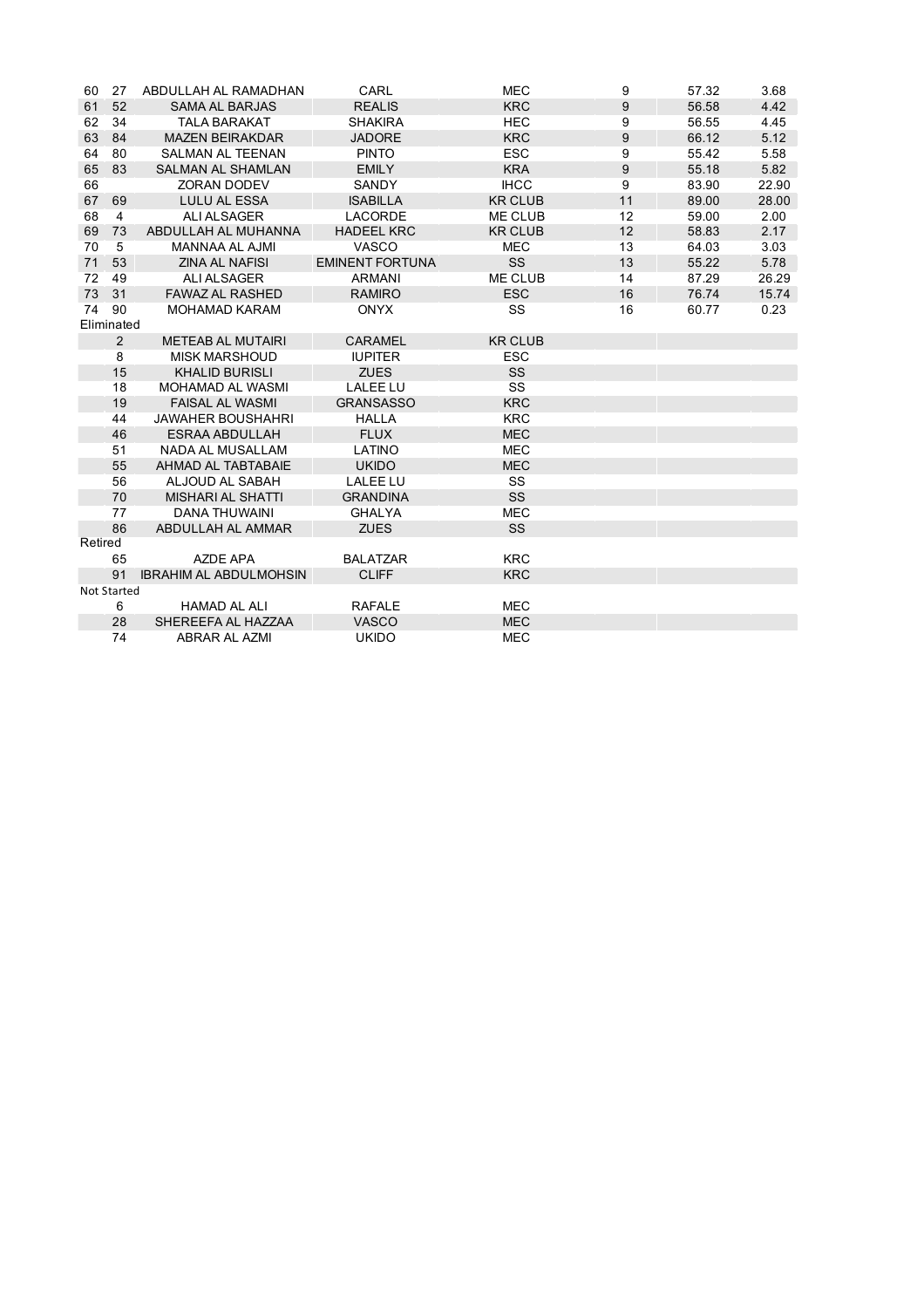| 60      | 27             | ABDULLAH AL RAMADHAN          | CARL                   | <b>MEC</b>     | 9  | 57.32 | 3.68  |
|---------|----------------|-------------------------------|------------------------|----------------|----|-------|-------|
| 61      | 52             | <b>SAMA AL BARJAS</b>         | <b>REALIS</b>          | <b>KRC</b>     | 9  | 56.58 | 4.42  |
| 62      | 34             | <b>TALA BARAKAT</b>           | <b>SHAKIRA</b>         | <b>HEC</b>     | 9  | 56.55 | 4.45  |
| 63      | 84             | <b>MAZEN BEIRAKDAR</b>        | <b>JADORE</b>          | <b>KRC</b>     | 9  | 66.12 | 5.12  |
| 64      | 80             | <b>SALMAN AL TEENAN</b>       | <b>PINTO</b>           | <b>ESC</b>     | 9  | 55.42 | 5.58  |
| 65      | 83             | <b>SALMAN AL SHAMLAN</b>      | <b>EMILY</b>           | <b>KRA</b>     | 9  | 55.18 | 5.82  |
| 66      |                | <b>ZORAN DODEV</b>            | SANDY                  | <b>IHCC</b>    | 9  | 83.90 | 22.90 |
| 67      | 69             | <b>LULU AL ESSA</b>           | <b>ISABILLA</b>        | <b>KR CLUB</b> | 11 | 89.00 | 28.00 |
| 68      | $\overline{4}$ | <b>ALI ALSAGER</b>            | <b>LACORDE</b>         | <b>ME CLUB</b> | 12 | 59.00 | 2.00  |
| 69      | 73             | ABDULLAH AL MUHANNA           | <b>HADEEL KRC</b>      | <b>KR CLUB</b> | 12 | 58.83 | 2.17  |
| 70      | 5              | <b>MANNAA AL AJMI</b>         | VASCO                  | <b>MEC</b>     | 13 | 64.03 | 3.03  |
| 71      | 53             | <b>ZINA AL NAFISI</b>         | <b>EMINENT FORTUNA</b> | <b>SS</b>      | 13 | 55.22 | 5.78  |
| 72      | 49             | ALI ALSAGER                   | <b>ARMANI</b>          | <b>ME CLUB</b> | 14 | 87.29 | 26.29 |
| 73      | 31             | <b>FAWAZ AL RASHED</b>        | <b>RAMIRO</b>          | <b>ESC</b>     | 16 | 76.74 | 15.74 |
| 74      | 90             | <b>MOHAMAD KARAM</b>          | <b>ONYX</b>            | SS             | 16 | 60.77 | 0.23  |
|         | Eliminated     |                               |                        |                |    |       |       |
|         | 2              | <b>METEAB AL MUTAIRI</b>      | <b>CARAMEL</b>         | <b>KR CLUB</b> |    |       |       |
|         | 8              | <b>MISK MARSHOUD</b>          | <b>IUPITER</b>         | <b>ESC</b>     |    |       |       |
|         | 15             | <b>KHALID BURISLI</b>         | <b>ZUES</b>            | SS             |    |       |       |
|         | 18             | <b>MOHAMAD AL WASMI</b>       | <b>LALEE LU</b>        | SS             |    |       |       |
|         | 19             | <b>FAISAL AL WASMI</b>        | <b>GRANSASSO</b>       | <b>KRC</b>     |    |       |       |
|         | 44             | <b>JAWAHER BOUSHAHRI</b>      | <b>HALLA</b>           | <b>KRC</b>     |    |       |       |
|         | 46             | <b>ESRAA ABDULLAH</b>         | <b>FLUX</b>            | <b>MEC</b>     |    |       |       |
|         | 51             | <b>NADA AL MUSALLAM</b>       | LATINO                 | <b>MEC</b>     |    |       |       |
|         | 55             | AHMAD AL TABTABAIE            | <b>UKIDO</b>           | <b>MEC</b>     |    |       |       |
|         | 56             | ALJOUD AL SABAH               | <b>LALEE LU</b>        | SS             |    |       |       |
|         | 70             | <b>MISHARI AL SHATTI</b>      | <b>GRANDINA</b>        | SS             |    |       |       |
|         | 77             | <b>DANA THUWAINI</b>          | <b>GHALYA</b>          | <b>MEC</b>     |    |       |       |
|         | 86             | ABDULLAH AL AMMAR             | <b>ZUES</b>            | <b>SS</b>      |    |       |       |
| Retired |                |                               |                        |                |    |       |       |
|         | 65             | AZDE APA                      | <b>BALATZAR</b>        | <b>KRC</b>     |    |       |       |
|         | 91             | <b>IBRAHIM AL ABDULMOHSIN</b> | <b>CLIFF</b>           | <b>KRC</b>     |    |       |       |
|         | Not Started    |                               |                        |                |    |       |       |
|         | 6              | <b>HAMAD AL ALI</b>           | <b>RAFALE</b>          | <b>MEC</b>     |    |       |       |
|         | 28             | SHEREEFA AL HAZZAA            | <b>VASCO</b>           | <b>MEC</b>     |    |       |       |
|         | 74             | <b>ABRAR AL AZMI</b>          | <b>UKIDO</b>           | <b>MEC</b>     |    |       |       |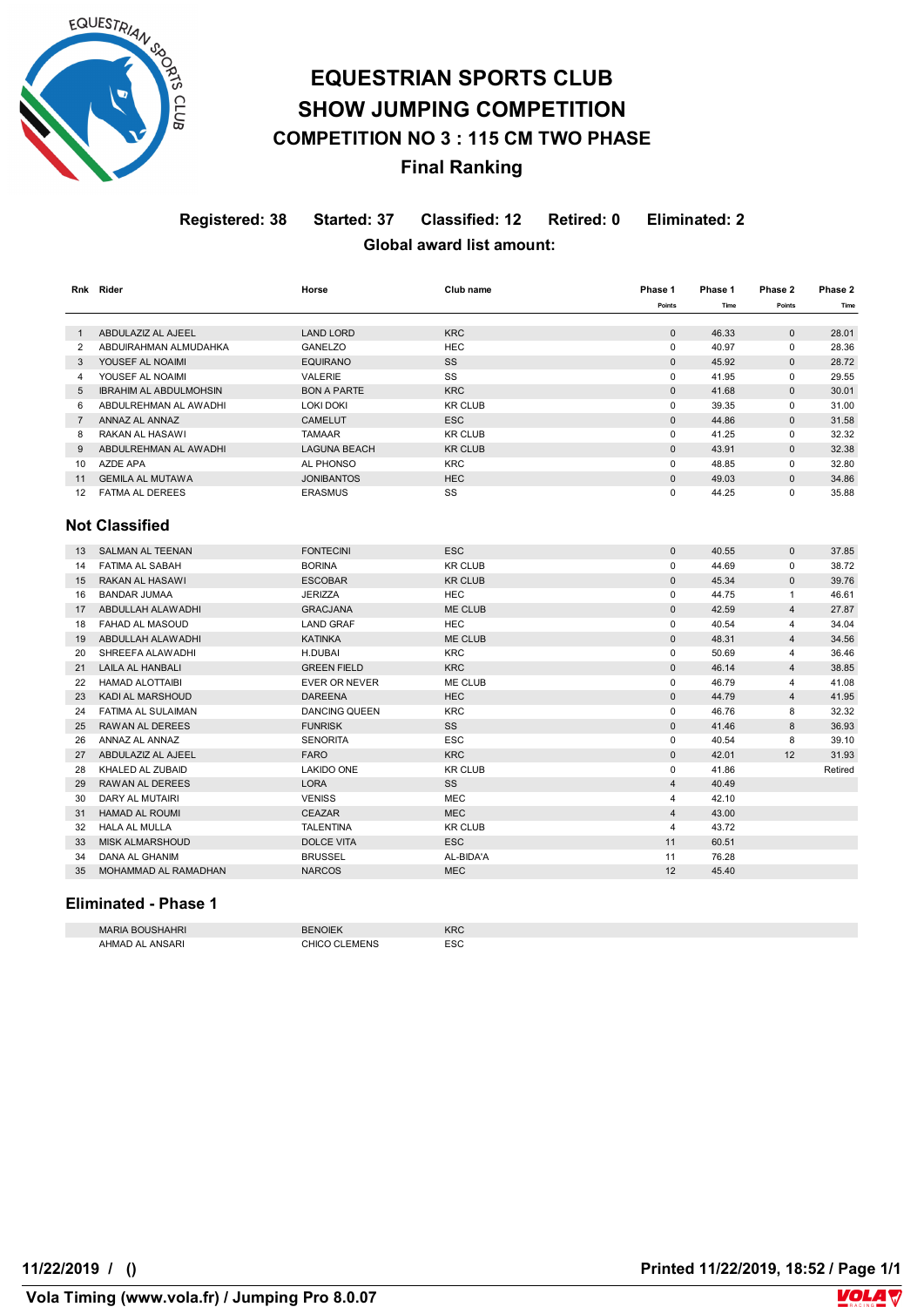

## **EQUESTRIAN SPORTS CLUB SHOW JUMPING COMPETITION COMPETITION NO 3 : 115 CM TWO PHASE Final Ranking**

**Registered: 38 Started: 37 Classified: 12 Retired: 0 Eliminated: 2 Global award list amount:** 

|                | Rnk Rider                     | Horse                | Club name      | Phase 1        | Phase 1 | Phase 2        | Phase 2 |
|----------------|-------------------------------|----------------------|----------------|----------------|---------|----------------|---------|
|                |                               |                      |                | Points         | Time    | Points         | Time    |
| $\overline{1}$ | ABDULAZIZ AL AJEEL            | <b>LAND LORD</b>     | <b>KRC</b>     | $\pmb{0}$      | 46.33   | $\mathbf{0}$   | 28.01   |
| $\overline{2}$ | ABDUIRAHMAN ALMUDAHKA         | <b>GANELZO</b>       | <b>HEC</b>     | $\mathbf 0$    | 40.97   | $\mathbf 0$    | 28.36   |
| 3              | YOUSEF AL NOAIMI              | <b>EQUIRANO</b>      | SS             | $\pmb{0}$      | 45.92   | $\bf 0$        | 28.72   |
| $\overline{4}$ | YOUSEF AL NOAIMI              | <b>VALERIE</b>       | SS             | $\mathbf 0$    | 41.95   | $\mathbf 0$    | 29.55   |
| 5              | <b>IBRAHIM AL ABDULMOHSIN</b> | <b>BON A PARTE</b>   | <b>KRC</b>     | $\mathbf{0}$   | 41.68   | $\mathbf{0}$   | 30.01   |
| 6              | ABDULREHMAN AL AWADHI         | <b>LOKI DOKI</b>     | <b>KR CLUB</b> | $\mathbf 0$    | 39.35   | $\mathbf 0$    | 31.00   |
| $\overline{7}$ | ANNAZ AL ANNAZ                | <b>CAMELUT</b>       | <b>ESC</b>     | $\mathbf{0}$   | 44.86   | $\mathbf{0}$   | 31.58   |
| 8              | RAKAN AL HASAWI               | <b>TAMAAR</b>        | <b>KR CLUB</b> | $\mathbf 0$    | 41.25   | $\mathbf 0$    | 32.32   |
| 9              | ABDULREHMAN AL AWADHI         | <b>LAGUNA BEACH</b>  | <b>KR CLUB</b> | $\bf 0$        | 43.91   | $\mathbf{0}$   | 32.38   |
| 10             | AZDE APA                      | <b>AL PHONSO</b>     | <b>KRC</b>     | $\mathbf 0$    | 48.85   | $\mathbf 0$    | 32.80   |
| 11             | <b>GEMILA AL MUTAWA</b>       | <b>JONIBANTOS</b>    | <b>HEC</b>     | $\mathbf{0}$   | 49.03   | $\mathbf{0}$   | 34.86   |
| 12             | <b>FATMA AL DEREES</b>        | <b>ERASMUS</b>       | SS             | 0              | 44.25   | $\mathbf 0$    | 35.88   |
|                | <b>Not Classified</b>         |                      |                |                |         |                |         |
| 13             | <b>SALMAN AL TEENAN</b>       | <b>FONTECINI</b>     | <b>ESC</b>     | $\mathbf{0}$   | 40.55   | $\mathbf{0}$   | 37.85   |
| 14             | <b>FATIMA AL SABAH</b>        | <b>BORINA</b>        | <b>KR CLUB</b> | $\mathbf 0$    | 44.69   | $\mathbf 0$    | 38.72   |
| 15             | <b>RAKAN AL HASAWI</b>        | <b>ESCOBAR</b>       | <b>KR CLUB</b> | $\mathbf{0}$   | 45.34   | $\mathbf{0}$   | 39.76   |
| 16             | <b>BANDAR JUMAA</b>           | <b>JERIZZA</b>       | <b>HEC</b>     | 0              | 44.75   | $\mathbf{1}$   | 46.61   |
| 17             | ABDULLAH ALAWADHI             | <b>GRACJANA</b>      | ME CLUB        | $\mathbf{0}$   | 42.59   | $\overline{4}$ | 27.87   |
| 18             | FAHAD AL MASOUD               | <b>LAND GRAF</b>     | <b>HEC</b>     | 0              | 40.54   | 4              | 34.04   |
| 19             | ABDULLAH ALAWADHI             | <b>KATINKA</b>       | ME CLUB        | $\pmb{0}$      | 48.31   | $\overline{4}$ | 34.56   |
| 20             | SHREEFA ALAWADHI              | <b>H.DUBAI</b>       | <b>KRC</b>     | $\mathbf 0$    | 50.69   | $\overline{4}$ | 36.46   |
| 21             | <b>LAILA AL HANBALI</b>       | <b>GREEN FIELD</b>   | <b>KRC</b>     | $\mathbf{0}$   | 46.14   | $\overline{4}$ | 38.85   |
| 22             | <b>HAMAD ALOTTAIBI</b>        | <b>EVER OR NEVER</b> | ME CLUB        | $\mathbf 0$    | 46.79   | $\overline{4}$ | 41.08   |
| 23             | <b>KADI AL MARSHOUD</b>       | <b>DAREENA</b>       | <b>HEC</b>     | $\mathbf{0}$   | 44.79   | $\overline{4}$ | 41.95   |
| 24             | <b>FATIMA AL SULAIMAN</b>     | <b>DANCING QUEEN</b> | <b>KRC</b>     | $\mathbf 0$    | 46.76   | 8              | 32.32   |
| 25             | RAWAN AL DEREES               | <b>FUNRISK</b>       | SS             | $\mathbf{0}$   | 41.46   | 8              | 36.93   |
| 26             | ANNAZ AL ANNAZ                | <b>SENORITA</b>      | <b>ESC</b>     | $\mathbf 0$    | 40.54   | 8              | 39.10   |
| 27             | ABDULAZIZ AL AJEEL            | <b>FARO</b>          | <b>KRC</b>     | $\pmb{0}$      | 42.01   | 12             | 31.93   |
| 28             | KHALED AL ZUBAID              | LAKIDO ONE           | <b>KR CLUB</b> | 0              | 41.86   |                | Retired |
| 29             | <b>RAWAN AL DEREES</b>        | <b>LORA</b>          | SS             | $\overline{4}$ | 40.49   |                |         |
| 30             | DARY AL MUTAIRI               | <b>VENISS</b>        | <b>MEC</b>     | 4              | 42.10   |                |         |
| 31             | <b>HAMAD AL ROUMI</b>         | <b>CEAZAR</b>        | <b>MEC</b>     | $\overline{4}$ | 43.00   |                |         |
| 32             | <b>HALA AL MULLA</b>          | <b>TALENTINA</b>     | <b>KR CLUB</b> | 4              | 43.72   |                |         |
| 33             | <b>MISK ALMARSHOUD</b>        | <b>DOLCE VITA</b>    | <b>ESC</b>     | 11             | 60.51   |                |         |
| 34             | <b>DANA AL GHANIM</b>         | <b>BRUSSEL</b>       | AL-BIDA'A      | 11             | 76.28   |                |         |
| 35             | MOHAMMAD AL RAMADHAN          | <b>NARCOS</b>        | <b>MEC</b>     | 12             | 45.40   |                |         |

### **Eliminated - Phase 1**

| <b>MARIA</b><br>'AHRI           | <b>BENOIEK</b> | <b>KRC</b> |
|---------------------------------|----------------|------------|
| AHMAD<br>ANSARI<br>$\mathbf{v}$ | <b>AENS</b>    | <b>ESC</b> |

 **Vola Timing (www.vola.fr) / Jumping Pro 8.0.07**

**VolaSoftControlPdf 11/22/2019 / () Printed 11/22/2019, 18:52 / Page 1/1**

**VOLA**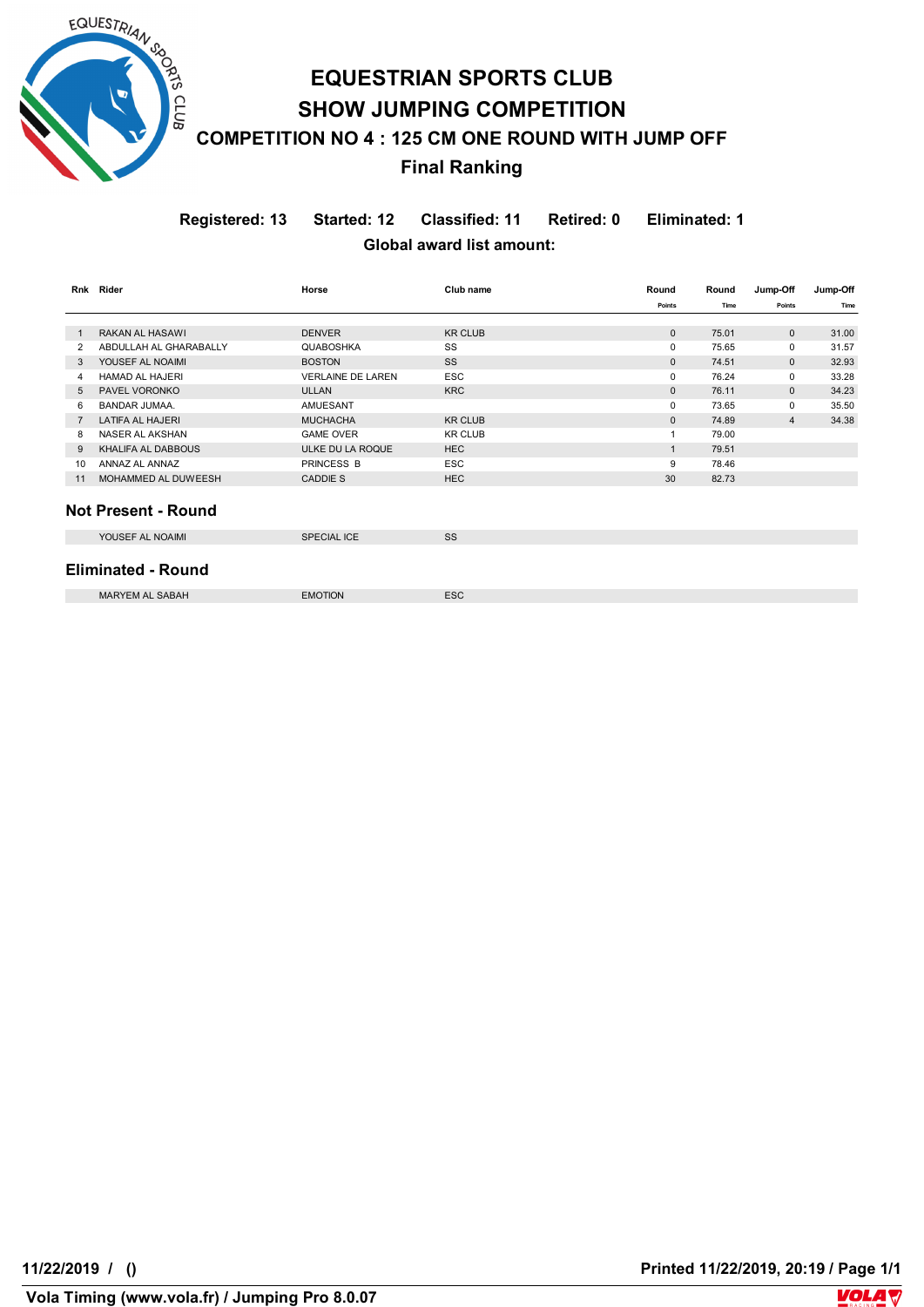

# **EQUESTRIAN SPORTS CLUB SHOW JUMPING COMPETITION COMPETITION NO 4 : 125 CM ONE ROUND WITH JUMP OFF Final Ranking**

**Registered: 13 Started: 12 Classified: 11 Retired: 0 Eliminated: 1 Global award list amount:** 

|    | Rnk Rider                  | Horse                    | Club name      | Round        | Round | Jump-Off       | Jump-Off |  |
|----|----------------------------|--------------------------|----------------|--------------|-------|----------------|----------|--|
|    |                            |                          |                | Points       | Time  | Points         | Time     |  |
|    |                            |                          |                |              |       |                |          |  |
| -1 | RAKAN AL HASAWI            | <b>DENVER</b>            | <b>KR CLUB</b> | $\mathbf{0}$ | 75.01 | $\mathbf{0}$   | 31.00    |  |
| 2  | ABDULLAH AL GHARABALLY     | <b>QUABOSHKA</b>         | SS             | $\mathbf 0$  | 75.65 | $\mathbf 0$    | 31.57    |  |
| 3  | YOUSEF AL NOAIMI           | <b>BOSTON</b>            | <b>SS</b>      | $\mathbf{0}$ | 74.51 | $\Omega$       | 32.93    |  |
| 4  | <b>HAMAD AL HAJERI</b>     | <b>VERLAINE DE LAREN</b> | <b>ESC</b>     | 0            | 76.24 | $\mathbf 0$    | 33.28    |  |
| 5  | PAVEL VORONKO              | <b>ULLAN</b>             | <b>KRC</b>     | $\mathbf{0}$ | 76.11 | $\mathbf{0}$   | 34.23    |  |
| 6  | <b>BANDAR JUMAA.</b>       | <b>AMUESANT</b>          |                | 0            | 73.65 | $\mathbf 0$    | 35.50    |  |
| 7  | <b>LATIFA AL HAJERI</b>    | <b>MUCHACHA</b>          | <b>KR CLUB</b> | $\mathbf{0}$ | 74.89 | $\overline{4}$ | 34.38    |  |
| 8  | NASER AL AKSHAN            | <b>GAME OVER</b>         | <b>KR CLUB</b> | $\mathbf{1}$ | 79.00 |                |          |  |
| 9  | KHALIFA AL DABBOUS         | ULKE DU LA ROQUE         | <b>HEC</b>     | $\mathbf{1}$ | 79.51 |                |          |  |
| 10 | ANNAZ AL ANNAZ             | <b>PRINCESS B</b>        | <b>ESC</b>     | 9            | 78.46 |                |          |  |
| 11 | MOHAMMED AL DUWEESH        | <b>CADDIE S</b>          | <b>HEC</b>     | 30           | 82.73 |                |          |  |
|    |                            |                          |                |              |       |                |          |  |
|    | <b>Not Present - Round</b> |                          |                |              |       |                |          |  |
|    | YOUSEF AL NOAIMI           | <b>SPECIAL ICE</b>       | SS             |              |       |                |          |  |
|    | <b>Eliminated - Round</b>  |                          |                |              |       |                |          |  |
|    | <b>MARYEM AL SABAH</b>     | <b>EMOTION</b>           | <b>ESC</b>     |              |       |                |          |  |

**VolaSoftControlPdf 11/22/2019 / () Printed 11/22/2019, 20:19 / Page 1/1**